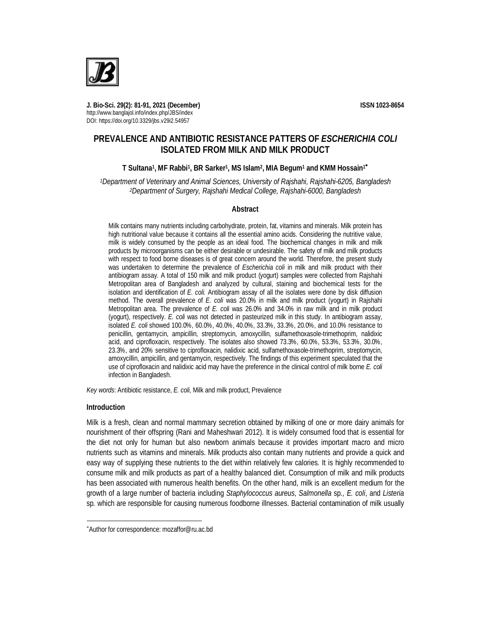

**J. Bio-Sci. 29(2): 81-91, 2021 (December) ISSN 1023-8654** http://www.banglajol.info/index.php/JBS/index DOI: https://doi.org/10.3329/jbs.v29i2.54957

# **PREVALENCE AND ANTIBIOTIC RESISTANCE PATTERS OF** *ESCHERICHIA COLI* **ISOLATED FROM MILK AND MILK PRODUCT**

## **T Sultana<sup>1</sup> , MF Rabbi<sup>1</sup> , BR Sarker<sup>1</sup> , MS Islam<sup>2</sup> , MIA Begum<sup>1</sup> and KMM Hossain<sup>1</sup>**

*<sup>1</sup>Department of Veterinary and Animal Sciences, University of Rajshahi, Rajshahi-6205, Bangladesh <sup>2</sup>Department of Surgery, Rajshahi Medical College, Rajshahi-6000, Bangladesh*

#### **Abstract**

Milk contains many nutrients including carbohydrate, protein, fat, vitamins and minerals. Milk protein has high nutritional value because it contains all the essential amino acids. Considering the nutritive value, milk is widely consumed by the people as an ideal food. The biochemical changes in milk and milk products by microorganisms can be either desirable or undesirable. The safety of milk and milk products with respect to food borne diseases is of great concern around the world. Therefore, the present study was undertaken to determine the prevalence of *Escherichia coli* in milk and milk product with their antibiogram assay. A total of 150 milk and milk product (yogurt) samples were collected from Rajshahi Metropolitan area of Bangladesh and analyzed by cultural, staining and biochemical tests for the isolation and identification of *E. coli.* Antibiogram assay of all the isolates were done by disk diffusion method. The overall prevalence of *E. coli* was 20.0% in milk and milk product (yogurt) in Rajshahi Metropolitan area. The prevalence of *E. coli* was 26.0% and 34.0% in raw milk and in milk product (yogurt), respectively. *E. coli* was not detected in pasteurized milk in this study. In antibiogram assay, isolated *E. coli* showed 100.0%, 60.0%, 40.0%, 40.0%, 33.3%, 33.3%, 20.0%, and 10.0% resistance to penicillin, gentamycin, ampicillin, streptomycin, amoxycillin, sulfamethoxasole-trimethoprim, nalidixic acid, and ciprofloxacin, respectively. The isolates also showed 73.3%, 60.0%, 53.3%, 53.3%, 30.0%, 23.3%, and 20% sensitive to ciprofloxacin, nalidixic acid, sulfamethoxasole-trimethoprim, streptomycin, amoxycillin, ampicillin, and gentamycin, respectively. The findings of this experiment speculated that the use of ciprofloxacin and nalidixic acid may have the preference in the clinical control of milk borne *E. coli* infection in Bangladesh.

*Key words*: Antibiotic resistance, *E. coli*, Milk and milk product, Prevalence

## **Introduction**

 $\overline{a}$ 

Milk is a fresh, clean and normal mammary secretion obtained by milking of one or more dairy animals for nourishment of their offspring (Rani and Maheshwari 2012). It is widely consumed food that is essential for the diet not only for human but also newborn animals because it provides important macro and micro nutrients such as vitamins and minerals. Milk products also contain many nutrients and provide a quick and easy way of supplying these nutrients to the diet within relatively few calories. It is highly recommended to consume milk and milk products as part of a healthy balanced diet. Consumption of milk and milk products has been associated with numerous health benefits. On the other hand, milk is an excellent medium for the growth of a large number of bacteria including *Staphylococcus aureus*, *Salmonella* sp*., E. coli*, and *Listeria*  sp*.* which are responsible for causing numerous foodborne illnesses. Bacterial contamination of milk usually

Author for correspondence: mozaffor@ru.ac.bd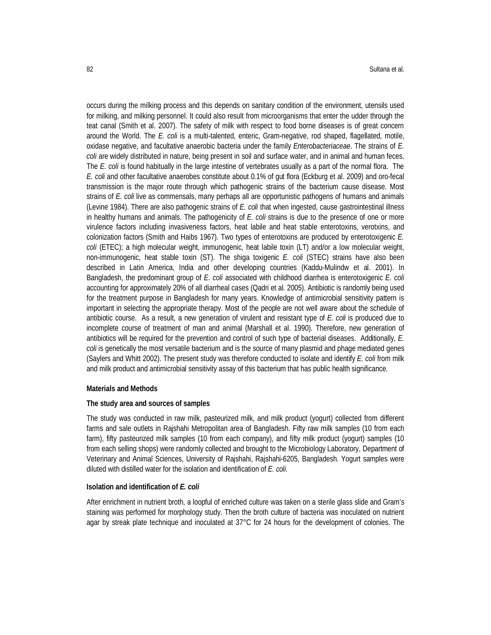occurs during the milking process and this depends on sanitary condition of the environment, utensils used for milking, and milking personnel. It could also result from microorganisms that enter the udder through the teat canal (Smith et al. 2007). The safety of milk with respect to food borne diseases is of great concern around the World. The *E. coli* is a multi-talented, enteric, Gram-negative, rod shaped, flagellated, motile, oxidase negative, and facultative anaerobic bacteria under the family *Enterobacteriaceae*. The strains of *E. coli* are widely distributed in nature, being present in soil and surface water, and in animal and human feces. The *E. coli* is found habitually in the large intestine of vertebrates usually as a part of the normal flora. The *E. coli* and other facultative anaerobes constitute about 0.1% of gut flora (Eckburg et al. 2009) and oro-fecal transmission is the major route through which pathogenic strains of the bacterium cause disease. Most strains of *E. coli* live as commensals, many perhaps all are opportunistic pathogens of humans and animals (Levine 1984). There are also pathogenic strains of *E. coli* that when ingested, cause gastrointestinal illness in healthy humans and animals. The pathogenicity of *E. coli* strains is due to the presence of one or more virulence factors including invasiveness factors, heat labile and heat stable enterotoxins, verotxins, and colonization factors (Smith and Haibs 1967). Two types of enterotoxins are produced by enterotoxigenic *E. coli* (ETEC); a high molecular weight, immunogenic, heat labile toxin (LT) and/or a low molecular weight, non-immunogenic, heat stable toxin (ST). The shiga toxigenic *E. coli* (STEC) strains have also been described in Latin America, India and other developing countries (Kaddu-Mulindw et al. 2001). In Bangladesh, the predominant group of *E. coli* associated with childhood diarrhea is enterotoxigenic *E. coli* accounting for approximately 20% of all diarrheal cases (Qadri et al. 2005). Antibiotic is randomly being used for the treatment purpose in Bangladesh for many years. Knowledge of antimicrobial sensitivity pattern is important in selecting the appropriate therapy. Most of the people are not well aware about the schedule of antibiotic course. As a result, a new generation of virulent and resistant type of *E. coli* is produced due to incomplete course of treatment of man and animal (Marshall et al. 1990). Therefore, new generation of antibiotics will be required for the prevention and control of such type of bacterial diseases. Additionally, *E. coli* is genetically the most versatile bacterium and is the source of many plasmid and phage mediated genes (Saylers and Whitt 2002). The present study was therefore conducted to isolate and identify *E. coli* from milk and milk product and antimicrobial sensitivity assay of this bacterium that has public health significance.

#### **Materials and Methods**

#### **The study area and sources of samples**

The study was conducted in raw milk, pasteurized milk, and milk product (yogurt) collected from different farms and sale outlets in Rajshahi Metropolitan area of Bangladesh. Fifty raw milk samples (10 from each farm), fifty pasteurized milk samples (10 from each company), and fifty milk product (yogurt) samples (10 from each selling shops) were randomly collected and brought to the Microbiology Laboratory, Department of Veterinary and Animal Sciences, University of Rajshahi, Rajshahi-6205, Bangladesh. Yogurt samples were diluted with distilled water for the isolation and identification of *E. coli.*

#### **Isolation and identification of** *E. coli*

After enrichment in nutrient broth, a loopful of enriched culture was taken on a sterile glass slide and Gram's staining was performed for morphology study. Then the broth culture of bacteria was inoculated on nutrient agar by streak plate technique and inoculated at 37°C for 24 hours for the development of colonies. The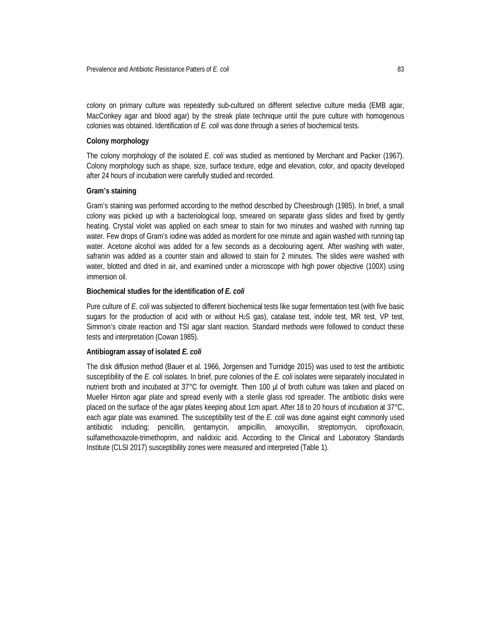colony on primary culture was repeatedly sub-cultured on different selective culture media (EMB agar, MacConkey agar and blood agar) by the streak plate technique until the pure culture with homogenous colonies was obtained. Identification of *E. coli* was done through a series of biochemical tests.

## **Colony morphology**

The colony morphology of the isolated *E. coli* was studied as mentioned by Merchant and Packer (1967). Colony morphology such as shape, size, surface texture, edge and elevation, color, and opacity developed after 24 hours of incubation were carefully studied and recorded.

## **Gram's staining**

Gram's staining was performed according to the method described by Cheesbrough (1985). In brief, a small colony was picked up with a bacteriological loop, smeared on separate glass slides and fixed by gently heating. Crystal violet was applied on each smear to stain for two minutes and washed with running tap water. Few drops of Gram's iodine was added as mordent for one minute and again washed with running tap water. Acetone alcohol was added for a few seconds as a decolouring agent. After washing with water, safranin was added as a counter stain and allowed to stain for 2 minutes. The slides were washed with water, blotted and dried in air, and examined under a microscope with high power objective (100X) using immersion oil.

## **Biochemical studies for the identification of** *E. coli*

Pure culture of *E. coli* was subjected to different biochemical tests like sugar fermentation test (with five basic sugars for the production of acid with or without H2S gas), catalase test, indole test, MR test, VP test, Simmon's citrate reaction and TSI agar slant reaction. Standard methods were followed to conduct these tests and interpretation (Cowan 1985).

## **Antibiogram assay of isolated** *E. coli*

The disk diffusion method (Bauer et al. 1966, Jorgensen and Turnidge 2015) was used to test the antibiotic susceptibility of the *E. coli* isolates. In brief, pure colonies of the *E. coli* isolates were separately inoculated in nutrient broth and incubated at 37°C for overnight. Then 100 µl of broth culture was taken and placed on Mueller Hinton agar plate and spread evenly with a sterile glass rod spreader. The antibiotic disks were placed on the surface of the agar plates keeping about 1cm apart. After 18 to 20 hours of incubation at 37°C, each agar plate was examined. The susceptibility test of the *E. coli* was done against eight commonly used antibiotic including; penicillin, gentamycin, ampicillin, amoxycillin, streptomycin, ciprofloxacin, sulfamethoxazole-trimethoprim, and nalidixic acid. According to the Clinical and Laboratory Standards Institute (CLSI 2017) susceptibility zones were measured and interpreted (Table 1).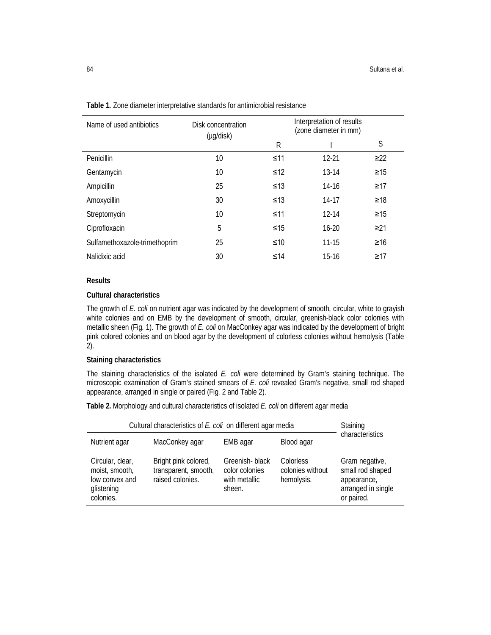| Name of used antibiotics      | Disk concentration<br>(µg/disk) |           | Interpretation of results<br>(zone diameter in mm) |           |
|-------------------------------|---------------------------------|-----------|----------------------------------------------------|-----------|
|                               |                                 | R         |                                                    | S         |
| Penicillin                    | 10                              | $\leq 11$ | $12 - 21$                                          | $\geq$ 22 |
| Gentamycin                    | 10                              | ≤12       | $13-14$                                            | $\geq 15$ |
| Ampicillin                    | 25                              | ≤13       | $14-16$                                            | $\geq$ 17 |
| Amoxycillin                   | 30                              | ≤13       | 14-17                                              | ≥18       |
| Streptomycin                  | 10                              | $\leq 11$ | $12 - 14$                                          | $\geq 15$ |
| Ciprofloxacin                 | 5                               | $\leq 15$ | $16-20$                                            | $\geq$ 21 |
| Sulfamethoxazole-trimethoprim | 25                              | ≤10       | $11 - 15$                                          | $\geq 16$ |
| Nalidixic acid                | 30                              | ≤14       | $15-16$                                            | ≥17       |

**Table 1.** Zone diameter interpretative standards for antimicrobial resistance

#### **Results**

## **Cultural characteristics**

The growth of *E. coli* on nutrient agar was indicated by the development of smooth, circular, white to grayish white colonies and on EMB by the development of smooth, circular, greenish-black color colonies with metallic sheen (Fig. 1). The growth of *E. coli* on MacConkey agar was indicated by the development of bright pink colored colonies and on blood agar by the development of colorless colonies without hemolysis (Table 2).

## **Staining characteristics**

The staining characteristics of the isolated *E. coli* were determined by Gram's staining technique. The microscopic examination of Gram's stained smears of *E. coli* revealed Gram's negative, small rod shaped appearance, arranged in single or paired (Fig. 2 and Table 2).

**Table 2.** Morphology and cultural characteristics of isolated *E. coli* on different agar media

| Cultural characteristics of E. coli on different agar media                     | Staining<br>characteristics                                      |                                                             |                                             |                                                                                       |
|---------------------------------------------------------------------------------|------------------------------------------------------------------|-------------------------------------------------------------|---------------------------------------------|---------------------------------------------------------------------------------------|
| MacConkey agar<br>Nutrient agar<br>Blood agar<br>EMB agar                       |                                                                  |                                                             |                                             |                                                                                       |
| Circular, clear,<br>moist, smooth,<br>low convex and<br>glistening<br>colonies. | Bright pink colored,<br>transparent, smooth,<br>raised colonies. | Greenish-black<br>color colonies<br>with metallic<br>sheen. | Colorless<br>colonies without<br>hemolysis. | Gram negative,<br>small rod shaped<br>appearance,<br>arranged in single<br>or paired. |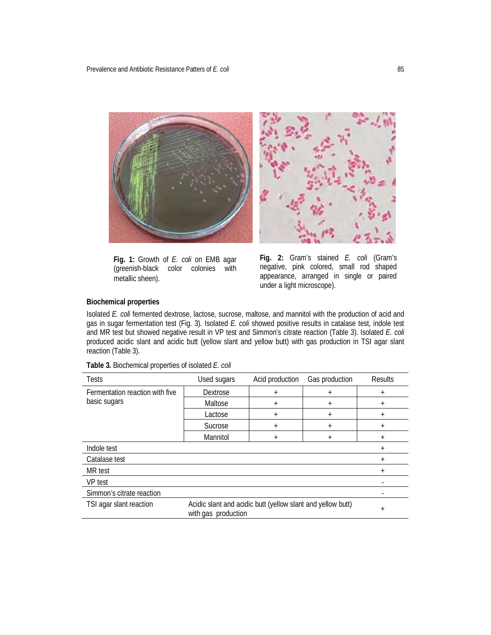

**Fig. 1:** Growth of *E. coli* on EMB agar (greenish-black color colonies with metallic sheen).

**Fig. 2:** Gram's stained *E. coli* (Gram's negative, pink colored, small rod shaped appearance, arranged in single or paired under a light microscope).

## **Biochemical properties**

Isolated *E. coli* fermented dextrose, lactose, sucrose, maltose, and mannitol with the production of acid and gas in sugar fermentation test (Fig. 3). Isolated *E. coli* showed positive results in catalase test, indole test and MR test but showed negative result in VP test and Simmon's citrate reaction (Table 3). Isolated *E. coli*  produced acidic slant and acidic butt (yellow slant and yellow butt) with gas production in TSI agar slant reaction (Table 3).

| <b>Tests</b>                    | Used sugars | Acid production | Gas production | <b>Results</b> |  |
|---------------------------------|-------------|-----------------|----------------|----------------|--|
| Fermentation reaction with five | Dextrose    | $\ddot{}$       | $\ddot{}$      | $^{+}$         |  |
| basic sugars                    | Maltose     | $\ddot{}$       | $\ddot{}$      | $\ddot{}$      |  |
|                                 | Lactose     | $\pmb{+}$       | $^{+}$         | $\ddot{}$      |  |
|                                 | Sucrose     | $\pmb{+}$       | $\ddot{}$      | $\pm$          |  |
|                                 | Mannitol    | $\ddot{}$       | $\ddot{}$      | $\ddot{}$      |  |
| Indole test                     |             |                 |                | $\ddot{}$      |  |
| Catalase test                   |             |                 |                | $\ddot{}$      |  |
| MR test                         |             |                 |                | $\ddot{}$      |  |
| <b>VP</b> test                  |             |                 |                |                |  |
| Simmon's citrate reaction       |             |                 |                |                |  |
| TSI agar slant reaction         | $\ddot{}$   |                 |                |                |  |

**Table 3.** Biochemical properties of isolated *E. coli*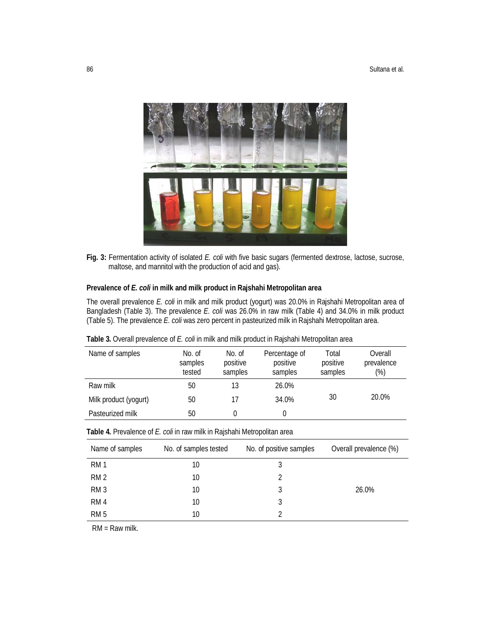

**Fig. 3:** Fermentation activity of isolated *E. coli* with five basic sugars (fermented dextrose, lactose, sucrose, maltose, and mannitol with the production of acid and gas).

## **Prevalence of** *E. coli* **in milk and milk product in Rajshahi Metropolitan area**

The overall prevalence *E. coli* in milk and milk product (yogurt) was 20.0% in Rajshahi Metropolitan area of Bangladesh (Table 3). The prevalence *E. coli* was 26.0% in raw milk (Table 4) and 34.0% in milk product (Table 5). The prevalence *E. coli* was zero percent in pasteurized milk in Rajshahi Metropolitan area.

| Name of samples       | No. of<br>samples<br>tested | No. of<br>positive<br>samples | Percentage of<br>positive<br>samples | Total<br>positive<br>samples | Overall<br>prevalence<br>(%) |
|-----------------------|-----------------------------|-------------------------------|--------------------------------------|------------------------------|------------------------------|
| Raw milk              | 50                          | 13                            | 26.0%                                |                              |                              |
| Milk product (yogurt) | 50                          | 17                            | 34.0%                                | 30                           | 20.0%                        |
| Pasteurized milk      | 50                          |                               | 0                                    |                              |                              |

**Table 3.** Overall prevalence of *E. coli* in milk and milk product in Rajshahi Metropolitan area

| Table 4. Prevalence of E. coli in raw milk in Rajshahi Metropolitan area |  |  |  |  |
|--------------------------------------------------------------------------|--|--|--|--|
|                                                                          |  |  |  |  |

| Name of samples | No. of samples tested | No. of positive samples | Overall prevalence (%) |
|-----------------|-----------------------|-------------------------|------------------------|
| RM <sub>1</sub> | 10                    |                         |                        |
| RM <sub>2</sub> | 10                    |                         |                        |
| RM <sub>3</sub> | 10                    | 3                       | 26.0%                  |
| RM <sub>4</sub> | 10                    |                         |                        |
| RM <sub>5</sub> | 10                    |                         |                        |

RM = Raw milk.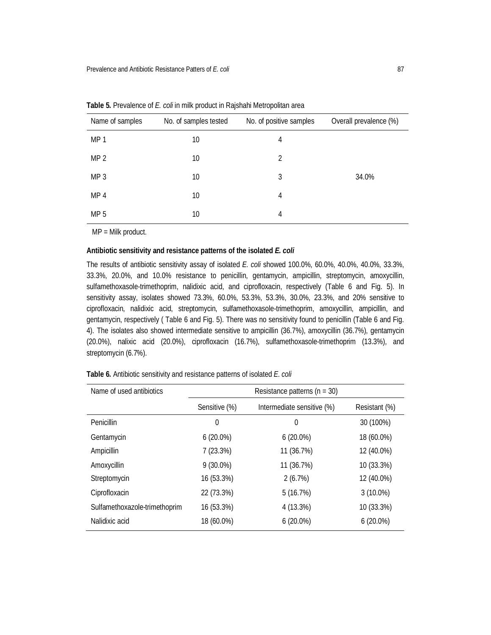| Name of samples | No. of samples tested | No. of positive samples | Overall prevalence (%) |
|-----------------|-----------------------|-------------------------|------------------------|
| MP <sub>1</sub> | 10                    | 4                       |                        |
| MP <sub>2</sub> | 10                    | 2                       |                        |
| MP <sub>3</sub> | 10                    | 3                       | 34.0%                  |
| MP <sub>4</sub> | 10                    | 4                       |                        |
| MP <sub>5</sub> | 10                    | 4                       |                        |

**Table 5.** Prevalence of *E. coli* in milk product in Rajshahi Metropolitan area

MP = Milk product.

## **Antibiotic sensitivity and resistance patterns of the isolated** *E. coli*

The results of antibiotic sensitivity assay of isolated *E. coli* showed 100.0%, 60.0%, 40.0%, 40.0%, 33.3%, 33.3%, 20.0%, and 10.0% resistance to penicillin, gentamycin, ampicillin, streptomycin, amoxycillin, sulfamethoxasole-trimethoprim, nalidixic acid, and ciprofloxacin, respectively (Table 6 and Fig. 5). In sensitivity assay, isolates showed 73.3%, 60.0%, 53.3%, 53.3%, 30.0%, 23.3%, and 20% sensitive to ciprofloxacin, nalidixic acid, streptomycin, sulfamethoxasole-trimethoprim, amoxycillin, ampicillin, and gentamycin, respectively ( Table 6 and Fig. 5). There was no sensitivity found to penicillin (Table 6 and Fig. 4). The isolates also showed intermediate sensitive to ampicillin (36.7%), amoxycillin (36.7%), gentamycin (20.0%), nalixic acid (20.0%), ciprofloxacin (16.7%), sulfamethoxasole-trimethoprim (13.3%), and streptomycin (6.7%).

| Name of used antibiotics      | Resistance patterns ( $n = 30$ ) |                            |               |  |  |
|-------------------------------|----------------------------------|----------------------------|---------------|--|--|
|                               | Sensitive (%)                    | Intermediate sensitive (%) | Resistant (%) |  |  |
| Penicillin                    | 0                                | 0                          | 30 (100%)     |  |  |
| Gentamycin                    | $6(20.0\%)$                      | $6(20.0\%)$                | 18 (60.0%)    |  |  |
| Ampicillin                    | 7(23.3%)                         | 11 (36.7%)                 | 12 (40.0%)    |  |  |
| Amoxycillin                   | $9(30.0\%)$                      | 11 (36.7%)                 | 10 (33.3%)    |  |  |
| Streptomycin                  | 16 (53.3%)                       | 2(6.7%)                    | 12 (40.0%)    |  |  |
| Ciprofloxacin                 | 22 (73.3%)                       | 5(16.7%)                   | $3(10.0\%)$   |  |  |
| Sulfamethoxazole-trimethoprim | 16 (53.3%)                       | 4 (13.3%)                  | 10 (33.3%)    |  |  |
| Nalidixic acid                | 18 (60.0%)                       | $6(20.0\%)$                | $6(20.0\%)$   |  |  |

**Table 6.** Antibiotic sensitivity and resistance patterns of isolated *E. coli*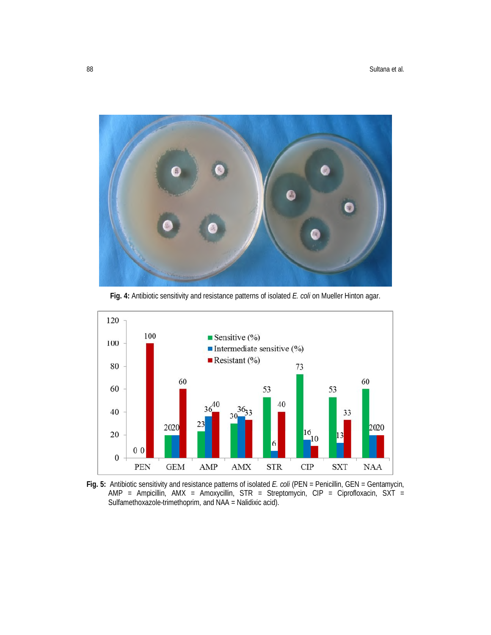

**Fig. 4:** Antibiotic sensitivity and resistance patterns of isolated *E. coli* on Mueller Hinton agar.



**Fig. 5:** Antibiotic sensitivity and resistance patterns of isolated *E. coli* (PEN = Penicillin, GEN = Gentamycin, AMP = Ampicillin, AMX = Amoxycillin, STR = Streptomycin, CIP = Ciprofloxacin, SXT = Sulfamethoxazole-trimethoprim, and NAA = Nalidixic acid).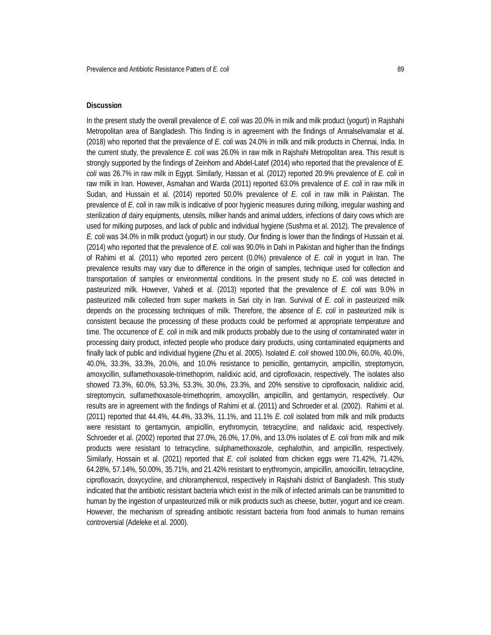#### **Discussion**

In the present study the overall prevalence of *E. coli* was 20.0% in milk and milk product (yogurt) in Rajshahi Metropolitan area of Bangladesh. This finding is in agreement with the findings of Annalselvamalar et al. (2018) who reported that the prevalence of *E. coli* was 24.0% in milk and milk products in Chennai, India. In the current study, the prevalence *E. coli* was 26.0% in raw milk in Rajshahi Metropolitan area. This result is strongly supported by the findings of Zeinhom and Abdel-Latef (2014) who reported that the prevalence of *E. coli* was 26.7% in raw milk in Egypt. Similarly, Hassan et al. (2012) reported 20.9% prevalence of *E. coli* in raw milk in Iran. However, Asmahan and Warda (2011) reported 63.0% prevalence of *E. coli* in raw milk in Sudan, and Hussain et al. (2014) reported 50.0% prevalence of *E. coli* in raw milk in Pakistan. The prevalence of *E. coli* in raw milk is indicative of poor hygienic measures during milking, irregular washing and sterilization of dairy equipments, utensils, milker hands and animal udders, infections of dairy cows which are used for milking purposes, and lack of public and individual hygiene (Sushma et al. 2012). The prevalence of *E. coli* was 34.0% in milk product (yogurt) in our study. Our finding is lower than the findings of Hussain et al. (2014) who reported that the prevalence of *E. coli* was 90.0% in Dahi in Pakistan and higher than the findings of Rahimi et al. (2011) who reported zero percent (0.0%) prevalence of *E. coli* in yogurt in Iran. The prevalence results may vary due to difference in the origin of samples, technique used for collection and transportation of samples or environmental conditions. In the present study no *E. coli* was detected in pasteurized milk. However, Vahedi et al. (2013) reported that the prevalence of *E. coli* was 9.0% in pasteurized milk collected from super markets in Sari city in Iran. Survival of *E. coli* in pasteurized milk depends on the processing techniques of milk. Therefore, the absence of *E. coli* in pasteurized milk is consistent because the processing of these products could be performed at appropriate temperature and time. The occurrence of *E. coli* in milk and milk products probably due to the using of contaminated water in processing dairy product, infected people who produce dairy products, using contaminated equipments and finally lack of public and individual hygiene (Zhu et al. 2005). Isolated *E. coli* showed 100.0%, 60.0%, 40.0%, 40.0%, 33.3%, 33.3%, 20.0%, and 10.0% resistance to penicillin, gentamycin, ampicillin, streptomycin, amoxycillin, sulfamethoxasole-trimethoprim, nalidixic acid, and ciprofloxacin, respectively. The isolates also showed 73.3%, 60.0%, 53.3%, 53.3%, 30.0%, 23.3%, and 20% sensitive to ciprofloxacin, nalidixic acid, streptomycin, sulfamethoxasole-trimethoprim, amoxycillin, ampicillin, and gentamycin, respectively. Our results are in agreement with the findings of Rahimi et al. (2011) and Schroeder et al. (2002). Rahimi et al. (2011) reported that 44.4%, 44.4%, 33.3%, 11.1%, and 11.1% *E. coli* isolated from milk and milk products were resistant to gentamycin, ampicillin, erythromycin, tetracycline, and nalidaxic acid, respectively. Schroeder et al. (2002) reported that 27.0%, 26.0%, 17.0%, and 13.0% isolates of *E. coli* from milk and milk products were resistant to tetracycline, sulphamethoxazole, cephalothin, and ampicillin, respectively. Similarly, Hossain et al. (2021) reported that *E. coli* isolated from chicken eggs were 71.42%, 71.42%, 64.28%, 57.14%, 50.00%, 35.71%, and 21.42% resistant to erythromycin, ampicillin, amoxicillin, tetracycline, ciprofloxacin, doxycycline, and chloramphenicol, respectively in Rajshahi district of Bangladesh. This study indicated that the antibiotic resistant bacteria which exist in the milk of infected animals can be transmitted to human by the ingestion of unpasteurized milk or milk products such as cheese, butter, yogurt and ice cream. However, the mechanism of spreading antibiotic resistant bacteria from food animals to human remains controversial (Adeleke et al. 2000).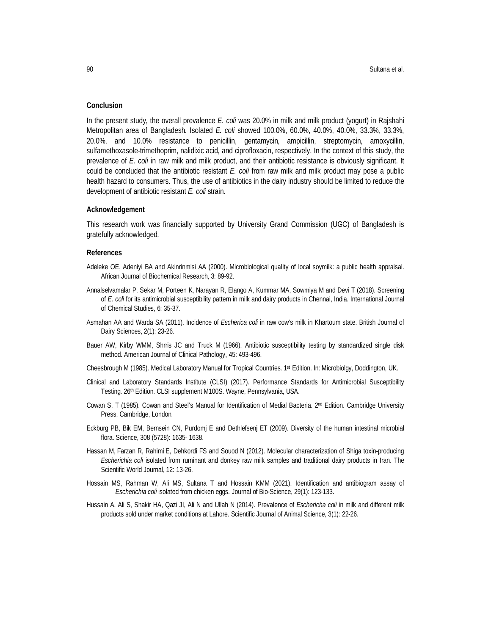#### **Conclusion**

In the present study, the overall prevalence *E. coli* was 20.0% in milk and milk product (yogurt) in Rajshahi Metropolitan area of Bangladesh. Isolated *E. coli* showed 100.0%, 60.0%, 40.0%, 40.0%, 33.3%, 33.3%, 20.0%, and 10.0% resistance to penicillin, gentamycin, ampicillin, streptomycin, amoxycillin, sulfamethoxasole-trimethoprim, nalidixic acid, and ciprofloxacin, respectively. In the context of this study, the prevalence of *E. coli* in raw milk and milk product, and their antibiotic resistance is obviously significant. It could be concluded that the antibiotic resistant *E. coli* from raw milk and milk product may pose a public health hazard to consumers. Thus, the use of antibiotics in the dairy industry should be limited to reduce the development of antibiotic resistant *E. coli* strain.

#### **Acknowledgement**

This research work was financially supported by University Grand Commission (UGC) of Bangladesh is gratefully acknowledged.

#### **References**

- Adeleke OE, Adeniyi BA and Akinrinmisi AA (2000). Microbiological quality of local soymilk: a public health appraisal. African Journal of Biochemical Research, 3: 89-92.
- Annalselvamalar P, Sekar M, Porteen K, Narayan R, Elango A, Kummar MA, Sowmiya M and Devi T (2018). Screening of *E. coli* for its antimicrobial susceptibility pattern in milk and dairy products in Chennai, India. International Journal of Chemical Studies, 6: 35-37.
- Asmahan AA and Warda SA (2011). Incidence of *Escherica coli* in raw cow's milk in Khartoum state. British Journal of Dairy Sciences, 2(1): 23-26.
- Bauer AW, Kirby WMM, Shrris JC and Truck M (1966). Antibiotic susceptibility testing by standardized single disk method. American Journal of Clinical Pathology, 45: 493-496.
- Cheesbrough M (1985). Medical Laboratory Manual for Tropical Countries. 1st Edition. In: Microbiolgy, Doddington, UK.
- Clinical and Laboratory Standards Institute (CLSI) (2017). Performance Standards for Antimicrobial Susceptibility Testing. 26th Edition. CLSI supplement M100S. Wayne, Pennsylvania, USA.
- Cowan S. T (1985). Cowan and Steel's Manual for Identification of Medial Bacteria. 2<sup>nd</sup> Edition. Cambridge University Press, Cambridge, London*.*
- Eckburg PB, Bik EM, Bernsein CN, Purdomj E and Dethlefsenj ET (2009). Diversity of the human intestinal microbial flora. Science, 308 (5728): 1635- 1638.
- Hassan M, Farzan R, Rahimi E, Dehkordi FS and Souod N (2012). Molecular characterization of Shiga toxin-producing *Escherichia coli* isolated from ruminant and donkey raw milk samples and traditional dairy products in Iran. The Scientific World Journal, 12: 13-26.
- Hossain MS, Rahman W, Ali MS, Sultana T and Hossain KMM (2021). Identification and antibiogram assay of *Escherichia coli* isolated from chicken eggs. Journal of Bio-Science, 29(1): 123-133.
- Hussain A, Ali S, Shakir HA, Qazi JI, Ali N and Ullah N (2014). Prevalence of *Eschericha coli* in milk and different milk products sold under market conditions at Lahore. Scientific Journal of Animal Science, 3(1): 22-26.